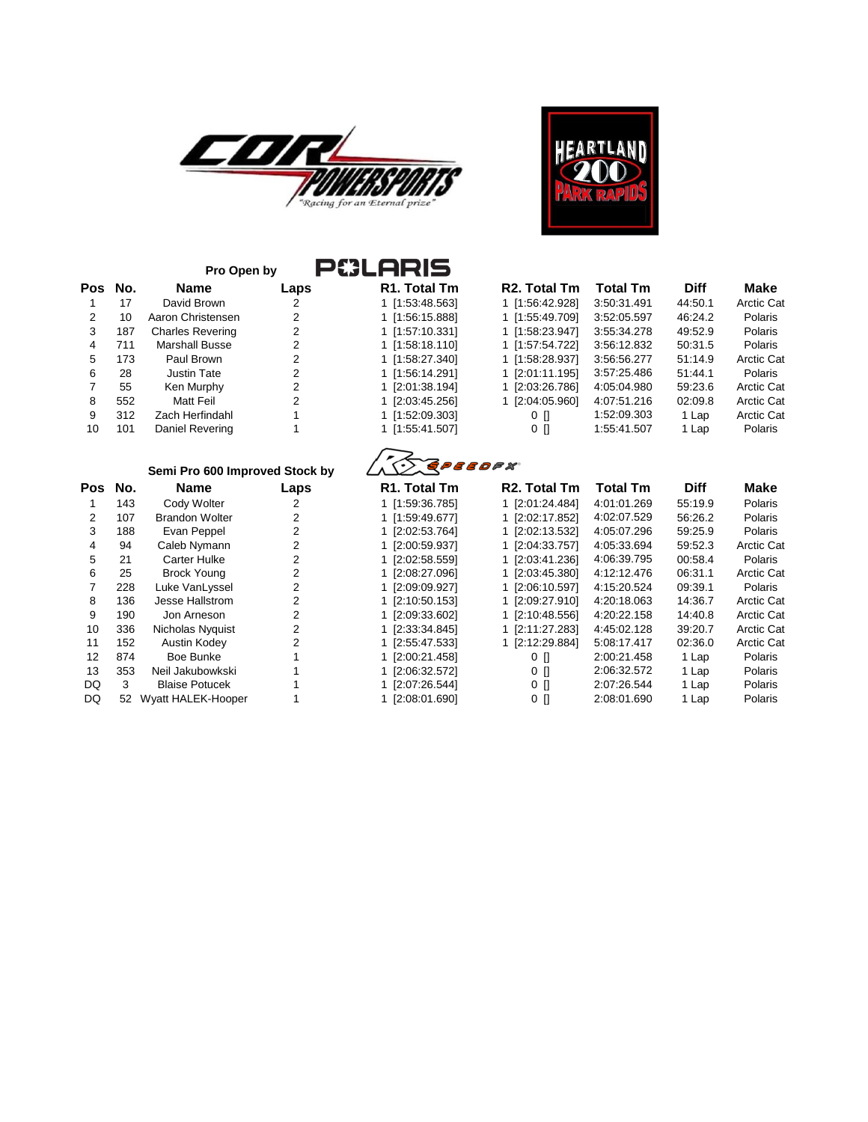



|         |     | <b>P&amp;LARIS</b><br>Pro Open by |      |                           |                           |                 |             |                   |
|---------|-----|-----------------------------------|------|---------------------------|---------------------------|-----------------|-------------|-------------------|
| Pos No. |     | <b>Name</b>                       | Laps | R <sub>1</sub> . Total Tm | R <sub>2</sub> . Total Tm | <b>Total Tm</b> | <b>Diff</b> | Make              |
|         | 17  | David Brown                       | 2    | 1 [1:53:48.563]           | 1 [1:56:42.928]           | 3:50:31.491     | 44:50.1     | <b>Arctic Cat</b> |
| 2       | 10  | Aaron Christensen                 | 2    | 1 [1:56:15.888]           | 1 [1:55:49.709]           | 3:52:05.597     | 46:24.2     | Polaris           |
| 3       | 187 | <b>Charles Revering</b>           | 2    | 1 [1:57:10.331]           | 1 [1:58:23.947]           | 3:55:34.278     | 49:52.9     | Polaris           |
| 4       | 711 | Marshall Busse                    | 2    | 1 [1:58:18.110]           | 1 [1:57:54.722]           | 3:56:12.832     | 50:31.5     | Polaris           |
| 5       | 173 | Paul Brown                        | 2    | 1 [1:58:27.340]           | 1 [1:58:28.937]           | 3:56:56.277     | 51:14.9     | <b>Arctic Cat</b> |
| 6       | 28  | Justin Tate                       | 2    | 1 [1:56:14.291]           | 1 [2:01:11.195]           | 3:57:25.486     | 51:44.1     | <b>Polaris</b>    |
|         | 55  | Ken Murphy                        | 2    | 1 [2:01:38.194]           | 1 [2:03:26.786]           | 4:05:04.980     | 59:23.6     | <b>Arctic Cat</b> |
| 8       | 552 | Matt Feil                         | 2    | 1 [2:03:45.256]           | 1 [2:04:05.960]           | 4:07:51.216     | 02:09.8     | <b>Arctic Cat</b> |
| 9       | 312 | Zach Herfindahl                   |      | 1 [1:52:09.303]           | $0$ $\Box$                | 1:52:09.303     | 1 Lap       | <b>Arctic Cat</b> |
| 10      | 101 | Daniel Revering                   |      | 1 [1:55:41.507]           | 0 N                       | 1:55:41.507     | 1 Lap       | Polaris           |

| վ Tm   | <b>R2. Total Tm</b> | <b>Total Tm</b> | <b>Diff</b> | Make              |
|--------|---------------------|-----------------|-------------|-------------------|
| 3.5631 | 1 [1:56:42.928]     | 3:50:31.491     | 44:50.1     | <b>Arctic Cat</b> |
| ،8881  | 1 [1:55:49.709]     | 3:52:05.597     | 46:24.2     | Polaris           |
| ).331] | 1 [1:58:23.947]     | 3:55:34.278     | 49:52.9     | <b>Polaris</b>    |
| 3.110] | 1 [1:57:54.722]     | 3:56:12.832     | 50:31.5     | <b>Polaris</b>    |
| 7.340  | 1 [1:58:28.937]     | 3:56:56.277     | 51:14.9     | <b>Arctic Cat</b> |
| 1.291] | 1 [2:01:11.195]     | 3:57:25.486     | 51:44.1     | Polaris           |
| 3.1941 | 1 [2:03:26.786]     | 4:05:04.980     | 59:23.6     | <b>Arctic Cat</b> |
| 2561.  | 1 [2:04:05.960]     | 4:07:51.216     | 02:09.8     | <b>Arctic Cat</b> |
| 9.3031 | o n                 | 1:52:09.303     | 1 Lap       | <b>Arctic Cat</b> |
| .5071  | 0 N                 | 1:55:41.507     | 1 Lap       | Polaris           |
|        |                     |                 |             |                   |



|     |     | Semi Pro 600 Improved Stock by |      | REPEEDER                  |                           |                 |             |                   |
|-----|-----|--------------------------------|------|---------------------------|---------------------------|-----------------|-------------|-------------------|
| Pos | No. | Name                           | Laps | R <sub>1</sub> . Total Tm | R <sub>2</sub> . Total Tm | <b>Total Tm</b> | <b>Diff</b> | Make              |
|     | 143 | Cody Wolter                    | 2    | 1 [1:59:36.785]           | 1 [2:01:24.484]           | 4:01:01.269     | 55:19.9     | <b>Polaris</b>    |
|     | 107 | <b>Brandon Wolter</b>          | 2    | 1 [1:59:49.677]           | 1 [2:02:17.852]           | 4:02:07.529     | 56:26.2     | <b>Polaris</b>    |
| 3   | 188 | Evan Peppel                    | 2    | 1 [2:02:53.764]           | 1 [2:02:13.532]           | 4:05:07.296     | 59:25.9     | Polaris           |
| 4   | 94  | Caleb Nymann                   | 2    | 1 [2:00:59.937]           | 1 [2:04:33.757]           | 4:05:33.694     | 59:52.3     | <b>Arctic Cat</b> |
| 5   | 21  | Carter Hulke                   | 2    | 1 [2:02:58.559]           | 1 [2:03:41.236]           | 4:06:39.795     | 00:58.4     | Polaris           |
| 6   | 25  | <b>Brock Young</b>             | 2    | 1 [2:08:27.096]           | 1 [2:03:45.380]           | 4:12:12.476     | 06:31.1     | <b>Arctic Cat</b> |
|     | 228 | Luke VanLyssel                 | 2    | 1 [2:09:09.927]           | 1 [2:06:10.597]           | 4:15:20.524     | 09:39.1     | Polaris           |
| 8   | 136 | Jesse Hallstrom                | 2    | 1 [2:10:50.153]           | 1 [2:09:27.910]           | 4:20:18.063     | 14:36.7     | <b>Arctic Cat</b> |
| 9   | 190 | Jon Arneson                    |      | 1 [2:09:33.602]           | 1 [2:10:48.556]           | 4:20:22.158     | 14:40.8     | <b>Arctic Cat</b> |
| 10  | 336 | Nicholas Nyquist               |      | 1 [2:33:34.845]           | 1 [2:11:27.283]           | 4:45:02.128     | 39:20.7     | <b>Arctic Cat</b> |
| 11  | 152 | Austin Kodey                   |      | 1 [2:55:47.533]           | 1 [2:12:29.884]           | 5:08:17.417     | 02:36.0     | <b>Arctic Cat</b> |
| 12  | 874 | Boe Bunke                      |      | 1 [2:00:21.458]           | 0 N                       | 2:00:21.458     | 1 Lap       | Polaris           |
| 13  | 353 | Neil Jakubowkski               |      | 1 [2:06:32.572]           | 0 N                       | 2:06:32.572     | 1 Lap       | <b>Polaris</b>    |
| DQ  | 3   | <b>Blaise Potucek</b>          |      | 1 [2:07:26.544]           | 0 []                      | 2:07:26.544     | 1 Lap       | Polaris           |
| DQ  | 52  | Wyatt HALEK-Hooper             |      | 1 [2:08:01.690]           | 0 []                      | 2:08:01.690     | 1 Lap       | <b>Polaris</b>    |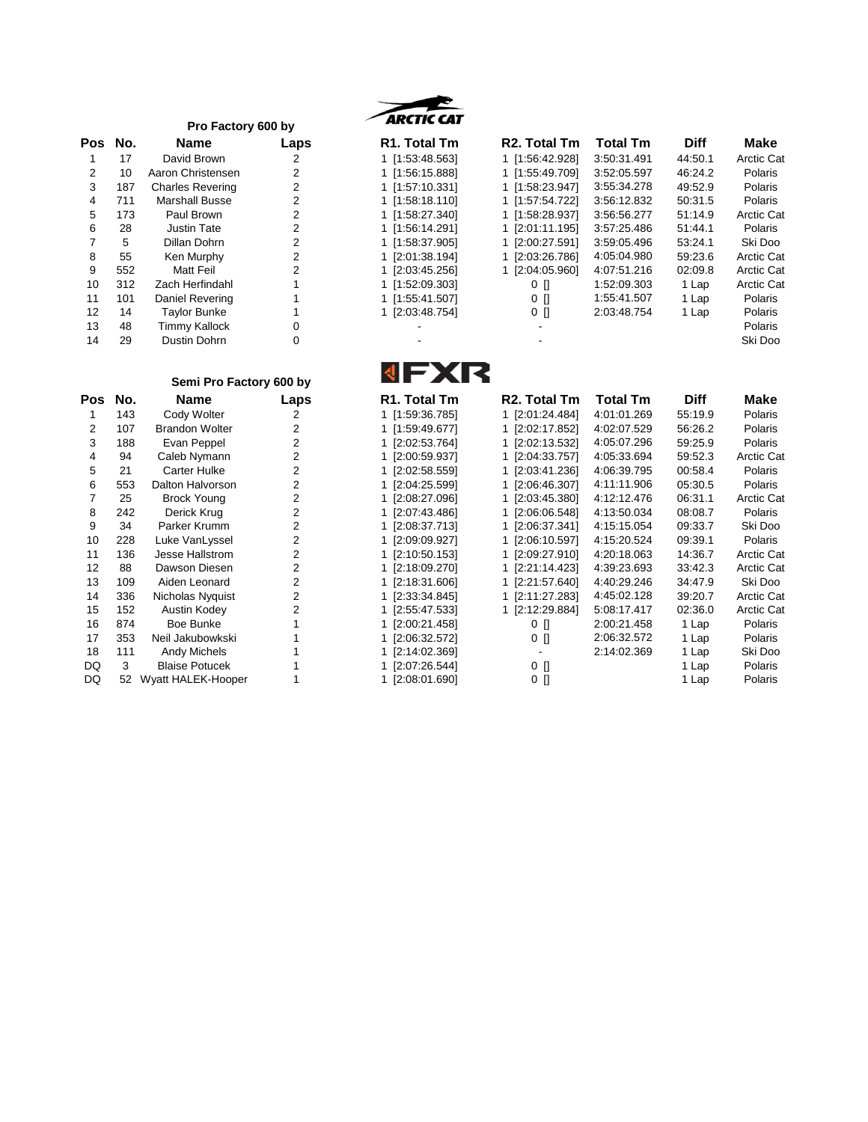|            |     | Pro Factory 600 by      |      | ARCTIC CAT                |                           |             |             |             |
|------------|-----|-------------------------|------|---------------------------|---------------------------|-------------|-------------|-------------|
| <b>Pos</b> | No. | <b>Name</b>             | Laps | R <sub>1</sub> . Total Tm | R <sub>2</sub> . Total Tm | Total Tm    | <b>Diff</b> | <b>Make</b> |
|            | 17  | David Brown             |      | 1 [1:53:48.563]           | 1 [1:56:42.928]           | 3:50:31.491 | 44:50.1     | Arctic Ca   |
| 2          | 10  | Aaron Christensen       |      | 1 [1:56:15.888]           | 1 [1:55:49.709]           | 3:52:05.597 | 46:24.2     | Polaris     |
| 3          | 187 | <b>Charles Revering</b> | 2    | 1 [1:57:10.331]           | 1 [1:58:23.947]           | 3:55:34.278 | 49:52.9     | Polaris     |
| 4          | 711 | <b>Marshall Busse</b>   |      | 1 [1:58:18.110]           | 1 [1:57:54.722]           | 3:56:12.832 | 50:31.5     | Polaris     |
| 5          | 173 | Paul Brown              | 2    | 1 [1:58:27.340]           | 1 [1:58:28.937]           | 3:56:56.277 | 51:14.9     | Arctic Ca   |
| 6          | 28  | Justin Tate             | 2    | 1 [1:56:14.291]           | 1 [2:01:11.195]           | 3:57:25.486 | 51:44.1     | Polaris     |
|            | 5   | Dillan Dohrn            | 2    | 1 [1:58:37.905]           | 1 [2:00:27.591]           | 3:59:05.496 | 53:24.1     | Ski Doo     |
| 8          | 55  | Ken Murphy              | 2    | 1 [2:01:38.194]           | 1 [2:03:26.786]           | 4:05:04.980 | 59:23.6     | Arctic Ca   |
| 9          | 552 | <b>Matt Feil</b>        | 2    | 1 [2:03:45.256]           | 1 [2:04:05.960]           | 4:07:51.216 | 02:09.8     | Arctic Ca   |
| 10         | 312 | Zach Herfindahl         |      | 1 [1:52:09.303]           | 0 N                       | 1:52:09.303 | 1 Lap       | Arctic Ca   |
| 11         | 101 | Daniel Revering         |      | 1 [1:55:41.507]           | $0$ $\prod$               | 1:55:41.507 | 1 Lap       | Polaris     |
| 12         | 14  | <b>Taylor Bunke</b>     |      | 1 [2:03:48.754]           | $0$ $\prod$               | 2:03:48.754 | 1 Lap       | Polaris     |
| 13         | 48  | <b>Timmy Kallock</b>    |      |                           |                           |             |             | Polaris     |
| 14         | 29  | Dustin Dohrn            | 0    |                           |                           |             |             | Ski Doo     |



| Pos            | No. | <b>Name</b>             | Laps | R <sub>1</sub> . Total Tm | R <sub>2</sub> . Total Tm | <b>Total Tm</b> | <b>Diff</b> | Make              |
|----------------|-----|-------------------------|------|---------------------------|---------------------------|-----------------|-------------|-------------------|
|                | 17  | David Brown             |      | 1 [1:53:48.563]           | 1 [1:56:42.928]           | 3:50:31.491     | 44:50.1     | <b>Arctic Cat</b> |
|                | 10  | Aaron Christensen       |      | 1 [1:56:15.888]           | 1 [1:55:49.709]           | 3:52:05.597     | 46:24.2     | Polaris           |
| 3              | 187 | <b>Charles Revering</b> |      | 1 [1:57:10.331]           | 1 [1:58:23.947]           | 3:55:34.278     | 49:52.9     | Polaris           |
| 4              | 711 | <b>Marshall Busse</b>   | 2    | 1 [1:58:18.110]           | 1 [1:57:54.722]           | 3:56:12.832     | 50:31.5     | Polaris           |
| 5.             | 173 | Paul Brown              |      | 1 [1:58:27.340]           | 1 [1:58:28.937]           | 3:56:56.277     | 51:14.9     | <b>Arctic Cat</b> |
| 6              | 28  | Justin Tate             |      | 1 [1:56:14.291]           | 1 [2:01:11.195]           | 3:57:25.486     | 51:44.1     | Polaris           |
|                | 5   | Dillan Dohrn            |      | 1 [1:58:37.905]           | 1 [2:00:27.591]           | 3:59:05.496     | 53:24.1     | Ski Doo           |
| 8              | 55  | Ken Murphy              |      | 1 [2:01:38.194]           | 1 [2:03:26.786]           | 4:05:04.980     | 59:23.6     | <b>Arctic Cat</b> |
| 9              | 552 | Matt Feil               |      | 1 [2:03:45.256]           | 1 [2:04:05.960]           | 4:07:51.216     | 02:09.8     | <b>Arctic Cat</b> |
| 10             | 312 | Zach Herfindahl         |      | 1 [1:52:09.303]           | 0 N                       | 1:52:09.303     | 1 Lap       | <b>Arctic Cat</b> |
| 11             | 101 | Daniel Revering         |      | 1 [1:55:41.507]           | 0 N                       | 1:55:41.507     | 1 Lap       | Polaris           |
| 12             | 14  | <b>Taylor Bunke</b>     |      | 1 [2:03:48.754]           | 0 N                       | 2:03:48.754     | 1 Lap       | Polaris           |
| 13             | 48  | Timmy Kallock           | 0    |                           |                           |                 |             | Polaris           |
| $\overline{A}$ | ററ  | Ductin Dobro            |      |                           |                           |                 |             | Chi Doo           |

## **Semi Pro Factory 600 by**

| Pos            | No. | Name                  | Laps           |
|----------------|-----|-----------------------|----------------|
| 1              | 143 | Cody Wolter           | 2              |
| $\overline{2}$ | 107 | <b>Brandon Wolter</b> | 2              |
| 3              | 188 | Evan Peppel           | 2              |
| 4              | 94  | Caleb Nymann          | $\overline{c}$ |
| 5              | 21  | <b>Carter Hulke</b>   | $\overline{c}$ |
| 6              | 553 | Dalton Halvorson      | $\overline{c}$ |
| $\overline{7}$ | 25  | <b>Brock Young</b>    | 2              |
| 8              | 242 | Derick Krug           | $\overline{c}$ |
| 9              | 34  | Parker Krumm          | $\overline{2}$ |
| 10             | 228 | Luke VanLyssel        | 2              |
| 11             | 136 | Jesse Hallstrom       | $\overline{c}$ |
| 12             | 88  | Dawson Diesen         | 2              |
| 13             | 109 | Aiden Leonard         | $\overline{c}$ |
| 14             | 336 | Nicholas Nyquist      | $\overline{c}$ |
| 15             | 152 | <b>Austin Kodey</b>   | $\overline{c}$ |
| 16             | 874 | Boe Bunke             | 1              |
| 17             | 353 | Neil Jakubowkski      | 1              |
| 18             | 111 | <b>Andy Michels</b>   | 1              |
| DQ             | 3   | <b>Blaise Potucek</b> | 1              |
| מח             | 52  | Wyatt HAI FK-Hooner   | 1              |



| Pos | No. | <b>Name</b>           | Laps | R <sub>1</sub> . Total Tm | R <sub>2</sub> . Total Tm | <b>Total Tm</b> | <b>Diff</b> | Make              |
|-----|-----|-----------------------|------|---------------------------|---------------------------|-----------------|-------------|-------------------|
|     | 143 | Cody Wolter           | 2    | 1 [1:59:36.785]           | 1 [2:01:24.484]           | 4:01:01.269     | 55:19.9     | Polaris           |
| 2   | 107 | <b>Brandon Wolter</b> |      | 1 [1:59:49.677]           | 1 [2:02:17.852]           | 4:02:07.529     | 56:26.2     | Polaris           |
| 3   | 188 | Evan Peppel           |      | 1 [2:02:53.764]           | 1 [2:02:13.532]           | 4:05:07.296     | 59:25.9     | Polaris           |
| 4   | 94  | Caleb Nymann          |      | 1 [2:00:59.937]           | 1 [2:04:33.757]           | 4:05:33.694     | 59:52.3     | <b>Arctic Cat</b> |
| 5.  | 21  | Carter Hulke          | 2    | 1 [2:02:58.559]           | 1 [2:03:41.236]           | 4:06:39.795     | 00:58.4     | Polaris           |
| 6   | 553 | Dalton Halvorson      |      | 1 [2:04:25.599]           | 1 [2:06:46.307]           | 4:11:11.906     | 05:30.5     | Polaris           |
|     | 25  | <b>Brock Young</b>    |      | 1 [2:08:27.096]           | 1 [2:03:45.380]           | 4:12:12.476     | 06:31.1     | <b>Arctic Cat</b> |
| 8   | 242 | Derick Krug           |      | 1 [2:07:43.486]           | 1 [2:06:06.548]           | 4:13:50.034     | 08:08.7     | Polaris           |
| 9   | 34  | Parker Krumm          |      | 1 [2:08:37.713]           | 1 [2:06:37.341]           | 4:15:15.054     | 09:33.7     | Ski Doo           |
| 10  | 228 | Luke VanLyssel        |      | 1 [2:09:09.927]           | 1 [2:06:10.597]           | 4:15:20.524     | 09:39.1     | Polaris           |
| 11  | 136 | Jesse Hallstrom       |      | 1 [2:10:50.153]           | 1 [2:09:27.910]           | 4:20:18.063     | 14:36.7     | <b>Arctic Cat</b> |
| 12  | 88  | Dawson Diesen         |      | 1 [2:18:09.270]           | 1 [2:21:14.423]           | 4:39:23.693     | 33:42.3     | <b>Arctic Cat</b> |
| 13  | 109 | Aiden Leonard         |      | 1 [2:18:31.606]           | 1 [2:21:57.640]           | 4:40:29.246     | 34:47.9     | Ski Doo           |
| 14  | 336 | Nicholas Nyquist      | 2    | 1 [2:33:34.845]           | 1 [2:11:27.283]           | 4:45:02.128     | 39:20.7     | <b>Arctic Cat</b> |
| 15  | 152 | Austin Kodey          |      | 1 [2:55:47.533]           | 1 [2:12:29.884]           | 5:08:17.417     | 02:36.0     | <b>Arctic Cat</b> |
| 16  | 874 | Boe Bunke             |      | 1 [2:00:21.458]           | 0 N                       | 2:00:21.458     | 1 Lap       | Polaris           |
| 17  | 353 | Neil Jakubowkski      |      | 1 [2:06:32.572]           | 0 N                       | 2:06:32.572     | 1 Lap       | Polaris           |
| 18  | 111 | <b>Andy Michels</b>   |      | 1 [2:14:02.369]           |                           | 2:14:02.369     | 1 Lap       | Ski Doo           |
| DQ  | 3   | <b>Blaise Potucek</b> |      | 1 [2:07:26.544]           | 0 []                      |                 | 1 Lap       | <b>Polaris</b>    |
| DQ  | 52  | Wyatt HALEK-Hooper    |      | 1 [2:08:01.690]           | 0 []                      |                 | 1 Lap       | <b>Polaris</b>    |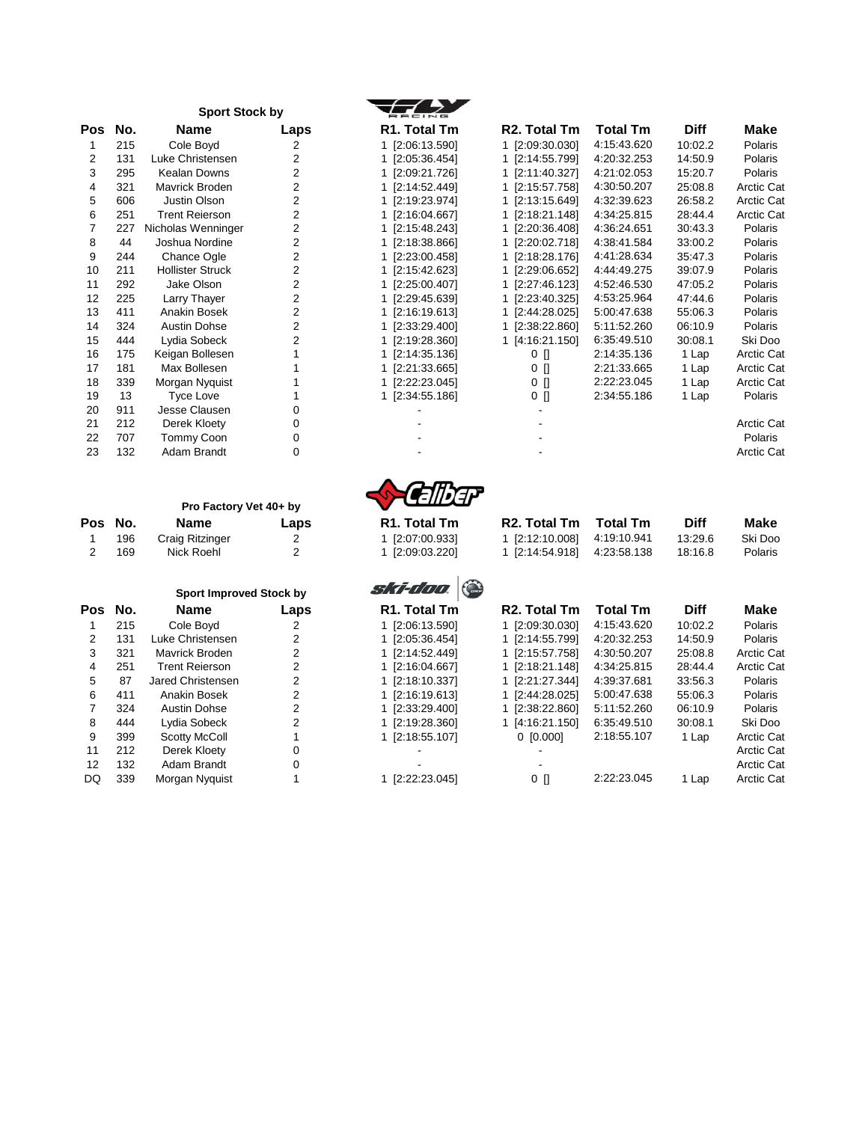| No. | Name                    | Laps           | R1. Total Tm          | <b>R2. To</b>          |
|-----|-------------------------|----------------|-----------------------|------------------------|
| 215 | Cole Boyd               | 2              | 1 [2:06:13.590]       | $1$ [2:09:             |
| 131 | Luke Christensen        | $\overline{2}$ | [2:05:36.454]<br>1.   | [2:14]<br>$\mathbf{1}$ |
| 295 | Kealan Downs            | $\overline{2}$ | [2:09:21.726]         | $1$ [2:11:             |
| 321 | Mavrick Broden          | $\overline{2}$ | 1 [2:14:52.449]       | $1$ [2:15:             |
| 606 | Justin Olson            | $\overline{2}$ | 1 [2:19:23.974]       | $1$ [2:13:             |
| 251 | <b>Trent Reierson</b>   | $\overline{2}$ | 1 [2:16:04.667]       | [2:18]<br>1            |
| 227 | Nicholas Wenninger      | $\overline{2}$ | 1 [2:15:48.243]       | [2:20:<br>1.           |
| 44  | Joshua Nordine          | $\overline{2}$ | 1 [2:18:38.866]       | [2:20:<br>1            |
| 244 | Chance Ogle             | 2              | 1 [2:23:00.458]       | $1$ [2:18:             |
| 211 | <b>Hollister Struck</b> | $\overline{2}$ | [2:15:42.623]         | [2:29]<br>1.           |
| 292 | Jake Olson              | 2              | [2:25:00.407]         | $1$ [2:27:             |
| 225 | Larry Thayer            | 2              | [2:29:45.639]         | [2:23]<br>1.           |
| 411 | Anakin Bosek            | 2              | 1 [2:16:19.613]       | [2:44]<br>1.           |
| 324 | <b>Austin Dohse</b>     | $\overline{2}$ | [2:33:29.400]         | [2:38]<br>1.           |
| 444 | Lydia Sobeck            | 2              | 1 [2:19:28.360]       | 1 [4:16:               |
| 175 | Keigan Bollesen         | 1              | [2:14:35.136]         | 0                      |
| 181 | Max Bollesen            | 1              | 1 [2:21:33.665]       | 0                      |
| 339 | Morgan Nyquist          |                | [2:22:23.045]         | 0                      |
| 13  | <b>Tyce Love</b>        | 1              | 1 [2:34:55.186]       | 0                      |
| 911 | Jesse Clausen           | 0              |                       |                        |
| 212 | Derek Kloety            | 0              |                       | -                      |
| 707 | Tommy Coon              | 0              |                       |                        |
| 132 | Adam Brandt             | 0              |                       |                        |
|     |                         |                | <b>Sport Stock by</b> |                        |

|   | R1. Total Tm  |  |  |  |  |
|---|---------------|--|--|--|--|
| 1 | [2:06:13.590] |  |  |  |  |
| 1 | [2:05:36.454] |  |  |  |  |
| 1 | [2:09:21.726] |  |  |  |  |
| 1 | [2:14:52.449] |  |  |  |  |
| 1 | [2:19:23.974] |  |  |  |  |

| Pos | No. | <b>Name</b>             | Laps           | R1. Total Tm    | R <sub>2</sub> . Total Tm | <b>Total Tm</b> | <b>Diff</b> | <b>Make</b>       |
|-----|-----|-------------------------|----------------|-----------------|---------------------------|-----------------|-------------|-------------------|
|     | 215 | Cole Boyd               | 2              | 1 [2:06:13.590] | 1 [2:09:30.030]           | 4:15:43.620     | 10:02.2     | Polaris           |
| 2   | 131 | Luke Christensen        | 2              | 1 [2:05:36.454] | 1 [2:14:55.799]           | 4:20:32.253     | 14:50.9     | Polaris           |
| 3   | 295 | Kealan Downs            |                | 1 [2:09:21.726] | 1 [2:11:40.327]           | 4:21:02.053     | 15:20.7     | Polaris           |
| 4   | 321 | Mavrick Broden          | 2              | 1 [2:14:52.449] | 1 [2:15:57.758]           | 4:30:50.207     | 25:08.8     | <b>Arctic Cat</b> |
| 5   | 606 | Justin Olson            | $\overline{2}$ | 1 [2:19:23.974] | 1 [2:13:15.649]           | 4:32:39.623     | 26:58.2     | <b>Arctic Cat</b> |
| 6   | 251 | <b>Trent Reierson</b>   | 2              | 1 [2:16:04.667] | 1 [2:18:21.148]           | 4:34:25.815     | 28:44.4     | <b>Arctic Cat</b> |
|     | 227 | Nicholas Wenninger      |                | 1 [2:15:48.243] | 1 [2:20:36.408]           | 4:36:24.651     | 30:43.3     | Polaris           |
| 8   | 44  | Joshua Nordine          | $\overline{2}$ | 1 [2:18:38.866] | 1 [2:20:02.718]           | 4:38:41.584     | 33:00.2     | Polaris           |
| 9   | 244 | <b>Chance Ogle</b>      |                | 1 [2:23:00.458] | 1 [2:18:28.176]           | 4:41:28.634     | 35:47.3     | Polaris           |
| 10  | 211 | <b>Hollister Struck</b> | 2              | 1 [2:15:42.623] | 1 [2:29:06.652]           | 4:44:49.275     | 39:07.9     | Polaris           |
| 11  | 292 | Jake Olson              | 2              | 1 [2:25:00.407] | 1 [2:27:46.123]           | 4:52:46.530     | 47:05.2     | Polaris           |
| 12  | 225 | Larry Thayer            |                | 1 [2:29:45.639] | 1 [2:23:40.325]           | 4:53:25.964     | 47:44.6     | Polaris           |
| 13  | 411 | Anakin Bosek            | 2              | 1 [2:16:19.613] | 1 [2:44:28.025]           | 5:00:47.638     | 55:06.3     | Polaris           |
| 14  | 324 | <b>Austin Dohse</b>     |                | 1 [2:33:29.400] | 1 [2:38:22.860]           | 5:11:52.260     | 06:10.9     | Polaris           |
| 15  | 444 | Lydia Sobeck            |                | 1 [2:19:28.360] | 1 [4:16:21.150]           | 6:35:49.510     | 30:08.1     | Ski Doo           |
| 16  | 175 | Keigan Bollesen         |                | 1 [2:14:35.136] | $0$ $\Box$                | 2:14:35.136     | 1 Lap       | <b>Arctic Cat</b> |
| 17  | 181 | Max Bollesen            |                | 1 [2:21:33.665] | 0 []                      | 2:21:33.665     | 1 Lap       | <b>Arctic Cat</b> |
| 18  | 339 | Morgan Nyquist          |                | 1 [2:22:23.045] | 0 []                      | 2:22:23.045     | 1 Lap       | <b>Arctic Cat</b> |
| 19  | 13  | <b>Tyce Love</b>        |                | 1 [2:34:55.186] | 0 []                      | 2:34:55.186     | 1 Lap       | Polaris           |
| 20  | 911 | Jesse Clausen           |                |                 |                           |                 |             |                   |
| 21  | 212 | Derek Kloety            |                |                 |                           |                 |             | <b>Arctic Cat</b> |
| 22  | 707 | Tommy Coon              | O              |                 |                           |                 |             | Polaris           |
| 23  | 132 | Adam Brandt             | 0              |                 |                           |                 |             | <b>Arctic Cat</b> |

|     |     | Pro Factory Vet 40+ by |      |
|-----|-----|------------------------|------|
| os' | No. | <b>Name</b>            | Laps |
|     | 196 | Craig Ritzinger        | 2    |
| 2   | 169 | Nick Roehl             | 2    |

|      |     | <b>Sport Improved Stock by</b> |                |
|------|-----|--------------------------------|----------------|
| Pos  | No. | Name                           | Laps           |
| 1    | 215 | Cole Boyd                      | 2              |
| 2    | 131 | Luke Christensen               | 2              |
| 3    | 321 | Mavrick Broden                 | 2              |
| 4    | 251 | <b>Trent Rejerson</b>          | $\overline{2}$ |
| 5    | 87  | Jared Christensen.             | $\overline{2}$ |
| 6    | 411 | Anakin Bosek                   | $\overline{2}$ |
| 7    | 324 | Austin Dohse                   | 2              |
| 8    | 444 | Lydia Sobeck                   | $\overline{2}$ |
| 9    | 399 | <b>Scotty McColl</b>           | 1              |
| 11   | 212 | Derek Kloety                   | ი              |
| 12   | 132 | Adam Brandt                    | n              |
| נוכו | 339 | Morgan Nyguist                 | 1              |



| Pos No. | <b>Name</b>     | Laps | R <sub>1</sub> . Total Tm | R <sub>2</sub> . Total Tm   | Total Tm | Diff    | Make    |
|---------|-----------------|------|---------------------------|-----------------------------|----------|---------|---------|
| 196     | Craig Ritzinger |      | 1 [2:07:00.933]           | 1 [2:12:10.008] 4:19:10.941 |          | 13:29.6 | Ski Doo |
| 169     | Nick Roehl      |      | 1 [2:09:03.220]           | 1 [2:14:54.918] 4:23:58.138 |          | 18:16.8 | Polaris |



| No. | <b>Name</b>           | Laps     | R <sub>1</sub> . Total Tm | R <sub>2</sub> . Total Tm | <b>Total Tm</b> | <b>Diff</b> | Make              |
|-----|-----------------------|----------|---------------------------|---------------------------|-----------------|-------------|-------------------|
| 215 | Cole Boyd             |          | 1 [2:06:13.590]           | 1 [2:09:30.030]           | 4:15:43.620     | 10:02.2     | Polaris           |
| 131 | Luke Christensen      |          | 1 [2:05:36.454]           | 1 [2:14:55.799]           | 4:20:32.253     | 14:50.9     | Polaris           |
| 321 | Mavrick Broden        |          | 1 [2:14:52.449]           | 1 [2:15:57.758]           | 4:30:50.207     | 25:08.8     | <b>Arctic Cat</b> |
| 251 | <b>Trent Reierson</b> |          | 1 [2:16:04.667]           | 1 [2:18:21.148]           | 4:34:25.815     | 28:44.4     | <b>Arctic Cat</b> |
| 87  | Jared Christensen     |          | 1 [2:18:10.337]           | 1 [2:21:27.344]           | 4:39:37.681     | 33:56.3     | Polaris           |
| 411 | Anakin Bosek          |          | 1 [2:16:19.613]           | 1 [2:44:28.025]           | 5:00:47.638     | 55:06.3     | Polaris           |
| 324 | Austin Dohse          |          | 1 [2:33:29.400]           | 1 [2:38:22.860]           | 5:11:52.260     | 06:10.9     | Polaris           |
| 444 | Lydia Sobeck          |          | 1 [2:19:28.360]           | 1 [4:16:21.150]           | 6:35:49.510     | 30:08.1     | Ski Doo           |
| 399 | Scotty McColl         |          | 1 [2:18:55.107]           | $0$ [0.000]               | 2:18:55.107     | 1 Lap       | <b>Arctic Cat</b> |
| 212 | Derek Kloety          | 0        |                           |                           |                 |             | <b>Arctic Cat</b> |
| 132 | Adam Brandt           | $\Omega$ |                           |                           |                 |             | <b>Arctic Cat</b> |
| 339 | Morgan Nyguist        |          | 1 [2:22:23.045]           | 0 II                      | 2:22:23.045     | 1 Lap       | <b>Arctic Cat</b> |
|     |                       |          |                           |                           |                 |             |                   |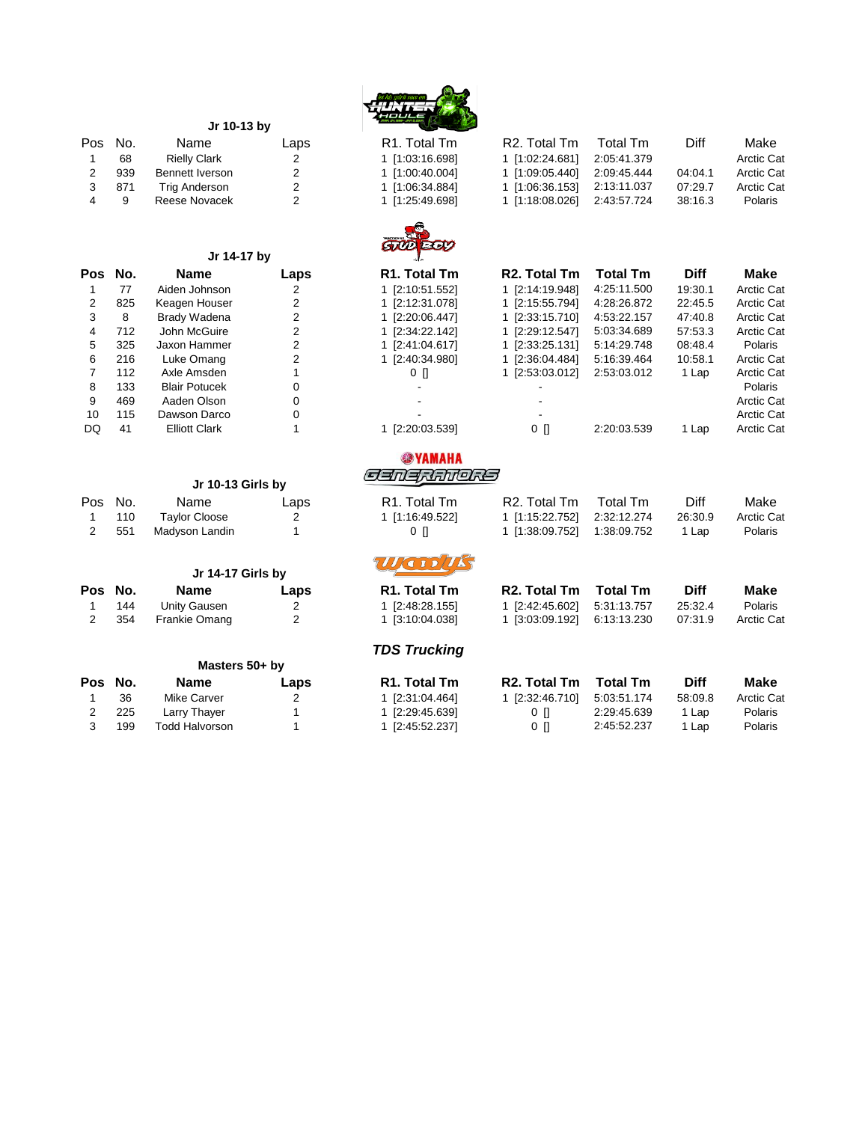

| Pos | No. | Name                   | Laps           | R <sub>1</sub> . Total Tm | R2. Total Tm              | Total Tm        | Diff        | Make              |
|-----|-----|------------------------|----------------|---------------------------|---------------------------|-----------------|-------------|-------------------|
| 1   | 68  | <b>Rielly Clark</b>    | 2              | 1 [1:03:16.698]           | 1 [1:02:24.681]           | 2:05:41.379     |             | <b>Arctic Cat</b> |
| 2   | 939 | <b>Bennett Iverson</b> | 2              | 1 [1:00:40.004]           | 1 [1:09:05.440]           | 2:09:45.444     | 04:04.1     | <b>Arctic Cat</b> |
| 3   | 871 | <b>Trig Anderson</b>   | $\overline{2}$ | 1 [1:06:34.884]           | 1 [1:06:36.153]           | 2:13:11.037     | 07:29.7     | <b>Arctic Cat</b> |
| 4   | 9   | Reese Novacek          | 2              | 1 [1:25:49.698]           | 1 [1:18:08.026]           | 2:43:57.724     | 38:16.3     | Polaris           |
|     |     |                        |                | <b>STUDEOV</b>            |                           |                 |             |                   |
|     |     | Jr 14-17 by            |                |                           |                           |                 |             |                   |
| Pos | No. | <b>Name</b>            | Laps           | R <sub>1</sub> . Total Tm | R <sub>2</sub> . Total Tm | <b>Total Tm</b> | <b>Diff</b> | Make              |
|     | 77  | Aiden Johnson          | 2              | 1 [2:10:51.552]           | 1 [2:14:19.948]           | 4:25:11.500     | 19:30.1     | <b>Arctic Cat</b> |
| 2   | 825 | Keagen Houser          | 2              | 1 [2:12:31.078]           | 1 [2:15:55.794]           | 4:28:26.872     | 22:45.5     | <b>Arctic Cat</b> |
| 3   | 8   | <b>Brady Wadena</b>    | 2              | 1 [2:20:06.447]           | 1 [2:33:15.710]           | 4:53:22.157     | 47:40.8     | <b>Arctic Cat</b> |
| 4   | 712 | John McGuire           | $\overline{2}$ | 1 [2:34:22.142]           | 1 [2:29:12.547]           | 5:03:34.689     | 57:53.3     | <b>Arctic Cat</b> |
| 5   | 325 | Jaxon Hammer           | 2              | 1 [2:41:04.617]           | 1 [2:33:25.131]           | 5:14:29.748     | 08:48.4     | Polaris           |
| 6   | 216 | Luke Omang             | $\overline{2}$ | 1 [2:40:34.980]           | 1 [2:36:04.484]           | 5:16:39.464     | 10:58.1     | <b>Arctic Cat</b> |
| 7   | 112 | Axle Amsden            |                | $0$ []                    | 1 [2:53:03.012]           | 2:53:03.012     | 1 Lap       | <b>Arctic Cat</b> |
| 8   | 133 | <b>Blair Potucek</b>   | 0              |                           |                           |                 |             | Polaris           |
| 9   | 469 | Aaden Olson            | 0              |                           |                           |                 |             | <b>Arctic Cat</b> |
| 10  | 115 | Dawson Darco           | 0              |                           |                           |                 |             | <b>Arctic Cat</b> |
| DQ  | 41  | <b>Elliott Clark</b>   |                | 1 [2:20:03.539]           | 0 []                      | 2:20:03.539     | 1 Lap       | <b>Arctic Cat</b> |
|     |     |                        |                | <b>@YAMAHA</b>            |                           |                 |             |                   |
|     |     | Jr 10-13 Girls by      |                | GENERATORS                |                           |                 |             |                   |
| Pos | No. | Name                   | Laps           | R <sub>1</sub> . Total Tm | R <sub>2</sub> . Total Tm | <b>Total Tm</b> | Diff        | Make              |
|     |     |                        |                |                           |                           |                 |             |                   |

|   |         | Jr 10-13 Girls by |      | كطالطمهالاستعاص           |                           |                 |             |                   |
|---|---------|-------------------|------|---------------------------|---------------------------|-----------------|-------------|-------------------|
|   | Pos No. | Name              | Laps | R <sub>1</sub> . Total Tm | R <sub>2</sub> . Total Tm | Total Tm        | Diff        | Make              |
|   | 110     | Taylor Cloose     | 2    | 1 [1:16:49.522]           | 1 [1:15:22.752]           | 2:32:12.274     | 26:30.9     | <b>Arctic Cat</b> |
| 2 | 551     | Madyson Landin    |      | 0 N                       | 1 [1:38:09.752]           | 1:38:09.752     | 1 Lap       | Polaris           |
|   |         | Jr 14-17 Girls by |      | <b>WEIDING</b>            |                           |                 |             |                   |
|   | Pos No. | <b>Name</b>       | Laps | R <sub>1</sub> . Total Tm | R <sub>2</sub> . Total Tm | <b>Total Tm</b> | <b>Diff</b> | <b>Make</b>       |
|   | 144     | Unity Gausen      | 2    | 1 [2:48:28.155]           | 1 [2:42:45.602]           | 5:31:13.757     | 25:32.4     | Polaris           |
|   | 354     | Frankie Omang     | 2    | 1 [3:10:04.038]           | 1 [3:03:09.192]           | 6:13:13.230     | 07:31.9     | <b>Arctic Cat</b> |
|   |         |                   |      |                           |                           |                 |             |                   |

**Jr 10-13 by** 

| . Total Tm   | R <sub>2</sub> . Total Tm | <b>Total Tm</b> | Diff    | Make              |
|--------------|---------------------------|-----------------|---------|-------------------|
| 2:48:28.1551 | 1 [2:42:45.602]           | 5:31:13.757     | 25:32.4 | <b>Polaris</b>    |
| 3:10:04.0381 | 1 [3:03:09.192]           | 6:13:13.230     | 07:31.9 | <b>Arctic Cat</b> |

| <b>TDS Trucking</b> |
|---------------------|
|---------------------|

| Masters 50+ by |                       |      |                           |                 |                 |             |                   |
|----------------|-----------------------|------|---------------------------|-----------------|-----------------|-------------|-------------------|
|                | <b>Name</b>           | Laps | R <sub>1</sub> . Total Tm | R2. Total Tm    | <b>Total Tm</b> | <b>Diff</b> | Make              |
| 36             | Mike Carver           |      | 1 [2:31:04.464]           | 1 [2:32:46.710] | 5:03:51.174     | 58:09.8     | <b>Arctic Cat</b> |
| 225            | Larry Thayer          |      | 1 [2:29:45.639]           | 0 H             | 2:29:45.639     | 1 Lap       | Polaris           |
| 199            | <b>Todd Halvorson</b> |      | 1 [2:45:52.237]           | 0 N             | 2:45:52.237     | 1 Lap       | <b>Polaris</b>    |
|                | Pos No.               |      |                           |                 |                 |             |                   |